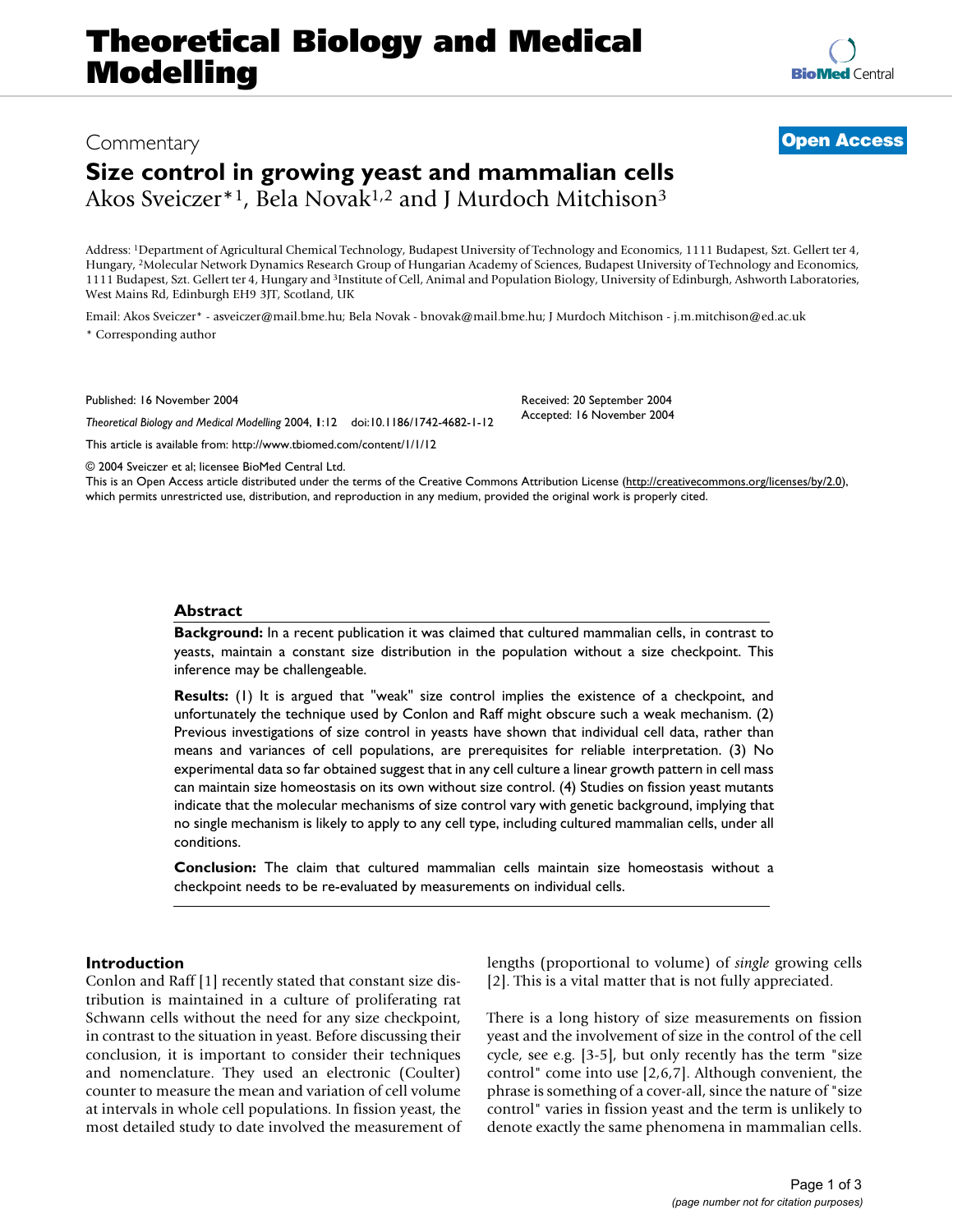## **Theoretical Biology and Medical Modelling**

# **Size control in growing yeast and mammalian cells**

Akos Sveiczer\*1, Bela Novak1,2 and J Murdoch Mitchison3

Address: 1Department of Agricultural Chemical Technology, Budapest University of Technology and Economics, 1111 Budapest, Szt. Gellert ter 4, Hungary, 2Molecular Network Dynamics Research Group of Hungarian Academy of Sciences, Budapest University of Technology and Economics, 1111 Budapest, Szt. Gellert ter 4, Hungary and 3Institute of Cell, Animal and Population Biology, University of Edinburgh, Ashworth Laboratories, West Mains Rd, Edinburgh EH9 3JT, Scotland, UK

Email: Akos Sveiczer\* - asveiczer@mail.bme.hu; Bela Novak - bnovak@mail.bme.hu; J Murdoch Mitchison - j.m.mitchison@ed.ac.uk \* Corresponding author

Published: 16 November 2004

*Theoretical Biology and Medical Modelling* 2004, **1**:12 doi:10.1186/1742-4682-1-12

[This article is available from: http://www.tbiomed.com/content/1/1/12](http://www.tbiomed.com/content/1/1/12)

© 2004 Sveiczer et al; licensee BioMed Central Ltd.

This is an Open Access article distributed under the terms of the Creative Commons Attribution License [\(http://creativecommons.org/licenses/by/2.0\)](http://creativecommons.org/licenses/by/2.0), which permits unrestricted use, distribution, and reproduction in any medium, provided the original work is properly cited.

### **Abstract**

**Background:** In a recent publication it was claimed that cultured mammalian cells, in contrast to yeasts, maintain a constant size distribution in the population without a size checkpoint. This inference may be challengeable.

**Results:** (1) It is argued that "weak" size control implies the existence of a checkpoint, and unfortunately the technique used by Conlon and Raff might obscure such a weak mechanism. (2) Previous investigations of size control in yeasts have shown that individual cell data, rather than means and variances of cell populations, are prerequisites for reliable interpretation. (3) No experimental data so far obtained suggest that in any cell culture a linear growth pattern in cell mass can maintain size homeostasis on its own without size control. (4) Studies on fission yeast mutants indicate that the molecular mechanisms of size control vary with genetic background, implying that no single mechanism is likely to apply to any cell type, including cultured mammalian cells, under all conditions.

**Conclusion:** The claim that cultured mammalian cells maintain size homeostasis without a checkpoint needs to be re-evaluated by measurements on individual cells.

#### **Introduction**

Conlon and Raff [1] recently stated that constant size distribution is maintained in a culture of proliferating rat Schwann cells without the need for any size checkpoint, in contrast to the situation in yeast. Before discussing their conclusion, it is important to consider their techniques and nomenclature. They used an electronic (Coulter) counter to measure the mean and variation of cell volume at intervals in whole cell populations. In fission yeast, the most detailed study to date involved the measurement of lengths (proportional to volume) of *single* growing cells [2]. This is a vital matter that is not fully appreciated.

There is a long history of size measurements on fission yeast and the involvement of size in the control of the cell cycle, see e.g. [3-5], but only recently has the term "size control" come into use [2,6,7]. Although convenient, the phrase is something of a cover-all, since the nature of "size control" varies in fission yeast and the term is unlikely to denote exactly the same phenomena in mammalian cells.





Received: 20 September 2004 Accepted: 16 November 2004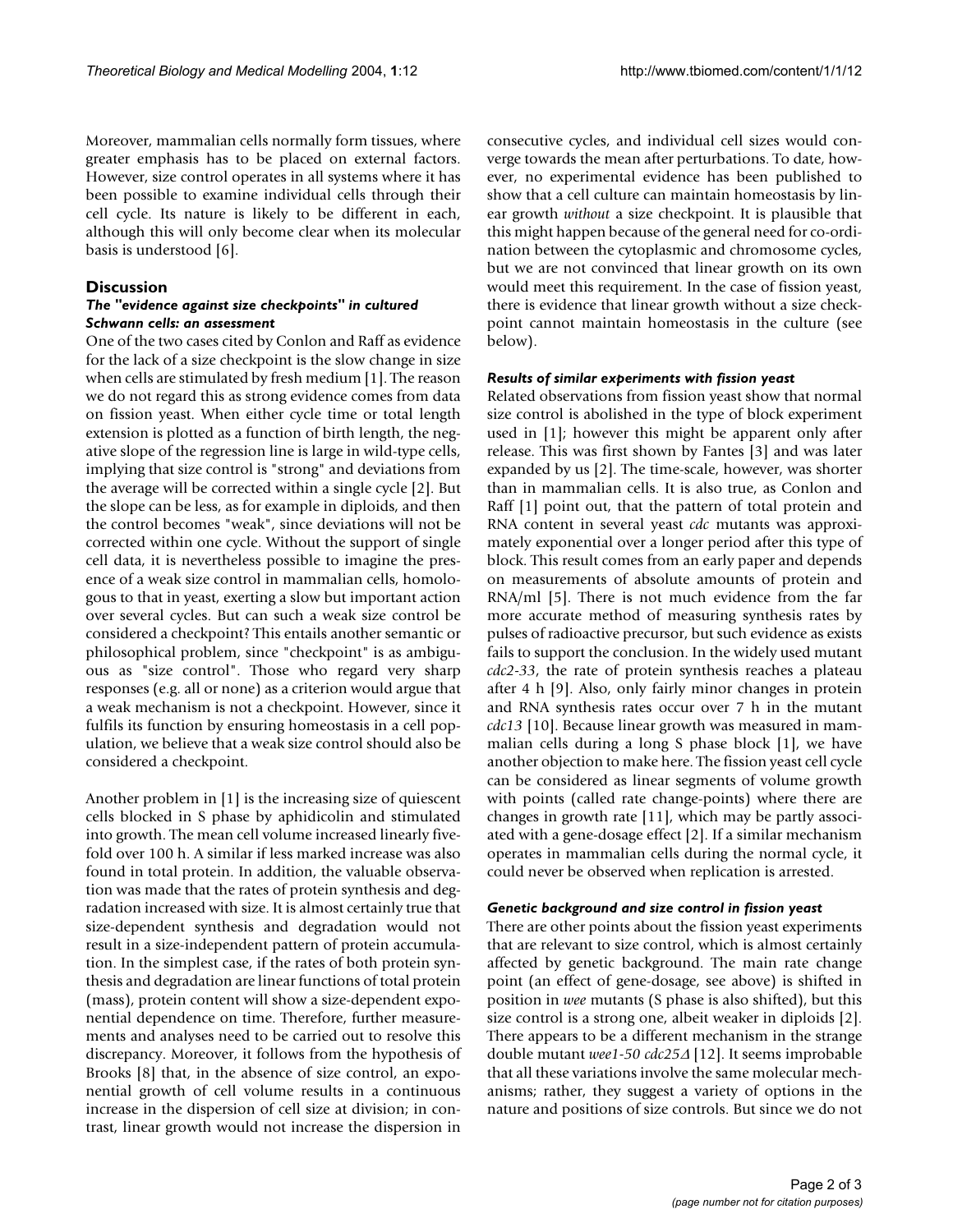Moreover, mammalian cells normally form tissues, where greater emphasis has to be placed on external factors. However, size control operates in all systems where it has been possible to examine individual cells through their cell cycle. Its nature is likely to be different in each, although this will only become clear when its molecular basis is understood [6].

#### **Discussion**

#### *The "evidence against size checkpoints" in cultured Schwann cells: an assessment*

One of the two cases cited by Conlon and Raff as evidence for the lack of a size checkpoint is the slow change in size when cells are stimulated by fresh medium [1]. The reason we do not regard this as strong evidence comes from data on fission yeast. When either cycle time or total length extension is plotted as a function of birth length, the negative slope of the regression line is large in wild-type cells, implying that size control is "strong" and deviations from the average will be corrected within a single cycle [2]. But the slope can be less, as for example in diploids, and then the control becomes "weak", since deviations will not be corrected within one cycle. Without the support of single cell data, it is nevertheless possible to imagine the presence of a weak size control in mammalian cells, homologous to that in yeast, exerting a slow but important action over several cycles. But can such a weak size control be considered a checkpoint? This entails another semantic or philosophical problem, since "checkpoint" is as ambiguous as "size control". Those who regard very sharp responses (e.g. all or none) as a criterion would argue that a weak mechanism is not a checkpoint. However, since it fulfils its function by ensuring homeostasis in a cell population, we believe that a weak size control should also be considered a checkpoint.

Another problem in [1] is the increasing size of quiescent cells blocked in S phase by aphidicolin and stimulated into growth. The mean cell volume increased linearly fivefold over 100 h. A similar if less marked increase was also found in total protein. In addition, the valuable observation was made that the rates of protein synthesis and degradation increased with size. It is almost certainly true that size-dependent synthesis and degradation would not result in a size-independent pattern of protein accumulation. In the simplest case, if the rates of both protein synthesis and degradation are linear functions of total protein (mass), protein content will show a size-dependent exponential dependence on time. Therefore, further measurements and analyses need to be carried out to resolve this discrepancy. Moreover, it follows from the hypothesis of Brooks [8] that, in the absence of size control, an exponential growth of cell volume results in a continuous increase in the dispersion of cell size at division; in contrast, linear growth would not increase the dispersion in

consecutive cycles, and individual cell sizes would converge towards the mean after perturbations. To date, however, no experimental evidence has been published to show that a cell culture can maintain homeostasis by linear growth *without* a size checkpoint. It is plausible that this might happen because of the general need for co-ordination between the cytoplasmic and chromosome cycles, but we are not convinced that linear growth on its own would meet this requirement. In the case of fission yeast, there is evidence that linear growth without a size checkpoint cannot maintain homeostasis in the culture (see below).

#### *Results of similar experiments with fission yeast*

Related observations from fission yeast show that normal size control is abolished in the type of block experiment used in [1]; however this might be apparent only after release. This was first shown by Fantes [3] and was later expanded by us [2]. The time-scale, however, was shorter than in mammalian cells. It is also true, as Conlon and Raff [1] point out, that the pattern of total protein and RNA content in several yeast *cdc* mutants was approximately exponential over a longer period after this type of block. This result comes from an early paper and depends on measurements of absolute amounts of protein and RNA/ml [5]. There is not much evidence from the far more accurate method of measuring synthesis rates by pulses of radioactive precursor, but such evidence as exists fails to support the conclusion. In the widely used mutant *cdc2-33*, the rate of protein synthesis reaches a plateau after 4 h [9]. Also, only fairly minor changes in protein and RNA synthesis rates occur over 7 h in the mutant *cdc13* [\[10\]](#page-2-0). Because linear growth was measured in mammalian cells during a long S phase block [1], we have another objection to make here. The fission yeast cell cycle can be considered as linear segments of volume growth with points (called rate change-points) where there are changes in growth rate [11], which may be partly associated with a gene-dosage effect [2]. If a similar mechanism operates in mammalian cells during the normal cycle, it could never be observed when replication is arrested.

#### *Genetic background and size control in fission yeast*

There are other points about the fission yeast experiments that are relevant to size control, which is almost certainly affected by genetic background. The main rate change point (an effect of gene-dosage, see above) is shifted in position in *wee* mutants (S phase is also shifted), but this size control is a strong one, albeit weaker in diploids [2]. There appears to be a different mechanism in the strange double mutant *wee1-50 cdc25*<sup>∆</sup> [12]. It seems improbable that all these variations involve the same molecular mechanisms; rather, they suggest a variety of options in the nature and positions of size controls. But since we do not